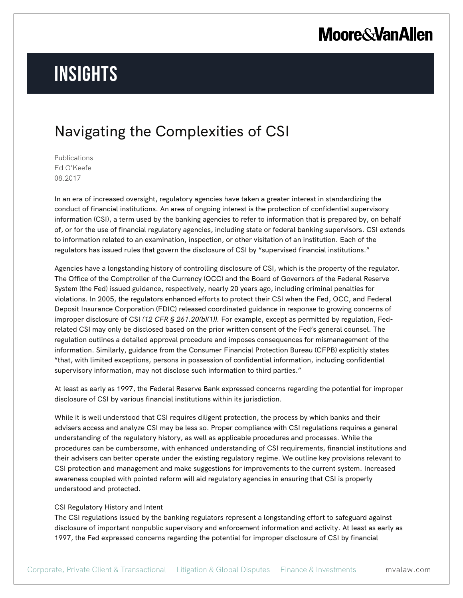# **Insights**

### Navigating the Complexities of CSI

Publications Ed O'Keefe 08.2017

In an era of increased oversight, regulatory agencies have taken a greater interest in standardizing the conduct of financial institutions. An area of ongoing interest is the protection of confidential supervisory information (CSI), a term used by the banking agencies to refer to information that is prepared by, on behalf of, or for the use of financial regulatory agencies, including state or federal banking supervisors. CSI extends to information related to an examination, inspection, or other visitation of an institution. Each of the regulators has issued rules that govern the disclosure of CSI by "supervised financial institutions."

Agencies have a longstanding history of controlling disclosure of CSI, which is the property of the regulator. The Office of the Comptroller of the Currency (OCC) and the Board of Governors of the Federal Reserve System (the Fed) issued guidance, respectively, nearly 20 years ago, including criminal penalties for violations. In 2005, the regulators enhanced efforts to protect their CSI when the Fed, OCC, and Federal Deposit Insurance Corporation (FDIC) released coordinated guidance in response to growing concerns of improper disclosure of CSI *(12 CFR § 261.20(b)(1)).* For example, except as permitted by regulation, Fedrelated CSI may only be disclosed based on the prior written consent of the Fed's general counsel. The regulation outlines a detailed approval procedure and imposes consequences for mismanagement of the information. Similarly, guidance from the Consumer Financial Protection Bureau (CFPB) explicitly states "that, with limited exceptions, persons in possession of confidential information, including confidential supervisory information, may not disclose such information to third parties."

At least as early as 1997, the Federal Reserve Bank expressed concerns regarding the potential for improper disclosure of CSI by various financial institutions within its jurisdiction.

While it is well understood that CSI requires diligent protection, the process by which banks and their advisers access and analyze CSI may be less so. Proper compliance with CSI regulations requires a general understanding of the regulatory history, as well as applicable procedures and processes. While the procedures can be cumbersome, with enhanced understanding of CSI requirements, financial institutions and their advisers can better operate under the existing regulatory regime. We outline key provisions relevant to CSI protection and management and make suggestions for improvements to the current system. Increased awareness coupled with pointed reform will aid regulatory agencies in ensuring that CSI is properly understood and protected.

#### CSI Regulatory History and Intent

The CSI regulations issued by the banking regulators represent a longstanding effort to safeguard against disclosure of important nonpublic supervisory and enforcement information and activity. At least as early as 1997, the Fed expressed concerns regarding the potential for improper disclosure of CSI by financial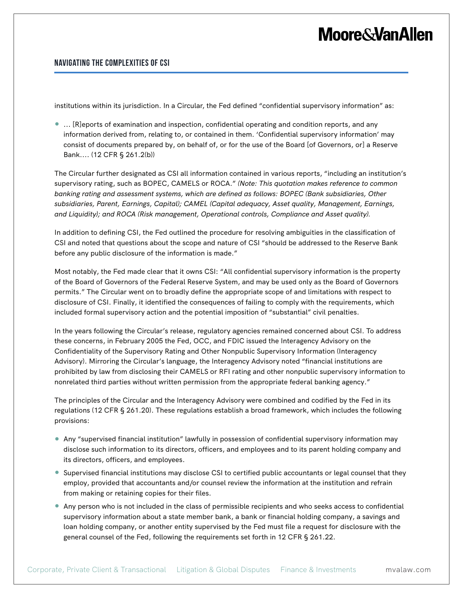#### **Navigating the Complexities of CSI**

institutions within its jurisdiction. In a Circular, the Fed defined "confidential supervisory information" as:

● ... [R]eports of examination and inspection, confidential operating and condition reports, and any information derived from, relating to, or contained in them. 'Confidential supervisory information' may consist of documents prepared by, on behalf of, or for the use of the Board [of Governors, or] a Reserve Bank.... (12 CFR § 261.2(b))

The Circular further designated as CSI all information contained in various reports, "including an institution's supervisory rating, such as BOPEC, CAMELS or ROCA." *(Note: This quotation makes reference to common banking rating and assessment systems, which are defined as follows: BOPEC (Bank subsidiaries, Other subsidiaries, Parent, Earnings, Capital); CAMEL (Capital adequacy, Asset quality, Management, Earnings, and Liquidity); and ROCA (Risk management, Operational controls, Compliance and Asset quality).*

In addition to defining CSI, the Fed outlined the procedure for resolving ambiguities in the classification of CSI and noted that questions about the scope and nature of CSI "should be addressed to the Reserve Bank before any public disclosure of the information is made."

Most notably, the Fed made clear that it owns CSI: "All confidential supervisory information is the property of the Board of Governors of the Federal Reserve System, and may be used only as the Board of Governors permits." The Circular went on to broadly define the appropriate scope of and limitations with respect to disclosure of CSI. Finally, it identified the consequences of failing to comply with the requirements, which included formal supervisory action and the potential imposition of "substantial" civil penalties.

In the years following the Circular's release, regulatory agencies remained concerned about CSI. To address these concerns, in February 2005 the Fed, OCC, and FDIC issued the Interagency Advisory on the Confidentiality of the Supervisory Rating and Other Nonpublic Supervisory Information (Interagency Advisory). Mirroring the Circular's language, the Interagency Advisory noted "financial institutions are prohibited by law from disclosing their CAMELS or RFI rating and other nonpublic supervisory information to nonrelated third parties without written permission from the appropriate federal banking agency."

The principles of the Circular and the Interagency Advisory were combined and codified by the Fed in its regulations (12 CFR § 261.20). These regulations establish a broad framework, which includes the following provisions:

- Any "supervised financial institution" lawfully in possession of confidential supervisory information may disclose such information to its directors, officers, and employees and to its parent holding company and its directors, officers, and employees.
- Supervised financial institutions may disclose CSI to certified public accountants or legal counsel that they employ, provided that accountants and/or counsel review the information at the institution and refrain from making or retaining copies for their files.
- Any person who is not included in the class of permissible recipients and who seeks access to confidential supervisory information about a state member bank, a bank or financial holding company, a savings and loan holding company, or another entity supervised by the Fed must file a request for disclosure with the general counsel of the Fed, following the requirements set forth in 12 CFR § 261.22.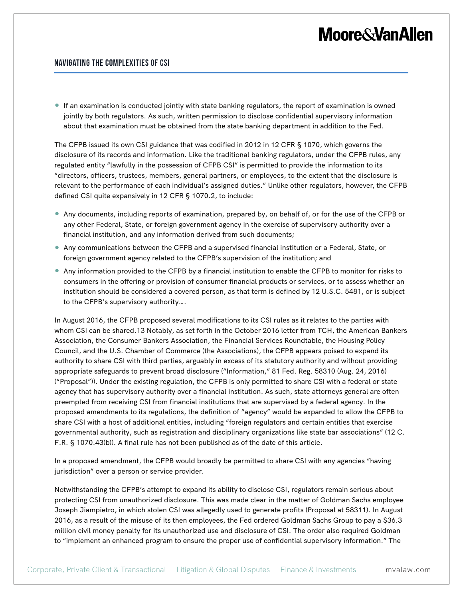#### **Navigating the Complexities of CSI**

● If an examination is conducted jointly with state banking regulators, the report of examination is owned jointly by both regulators. As such, written permission to disclose confidential supervisory information about that examination must be obtained from the state banking department in addition to the Fed.

The CFPB issued its own CSI guidance that was codified in 2012 in 12 CFR § 1070, which governs the disclosure of its records and information. Like the traditional banking regulators, under the CFPB rules, any regulated entity "lawfully in the possession of CFPB CSI" is permitted to provide the information to its "directors, officers, trustees, members, general partners, or employees, to the extent that the disclosure is relevant to the performance of each individual's assigned duties." Unlike other regulators, however, the CFPB defined CSI quite expansively in 12 CFR § 1070.2, to include:

- Any documents, including reports of examination, prepared by, on behalf of, or for the use of the CFPB or any other Federal, State, or foreign government agency in the exercise of supervisory authority over a financial institution, and any information derived from such documents;
- Any communications between the CFPB and a supervised financial institution or a Federal, State, or foreign government agency related to the CFPB's supervision of the institution; and
- Any information provided to the CFPB by a financial institution to enable the CFPB to monitor for risks to consumers in the offering or provision of consumer financial products or services, or to assess whether an institution should be considered a covered person, as that term is defined by 12 U.S.C. 5481, or is subject to the CFPB's supervisory authority….

In August 2016, the CFPB proposed several modifications to its CSI rules as it relates to the parties with whom CSI can be shared.13 Notably, as set forth in the October 2016 letter from TCH, the American Bankers Association, the Consumer Bankers Association, the Financial Services Roundtable, the Housing Policy Council, and the U.S. Chamber of Commerce (the Associations), the CFPB appears poised to expand its authority to share CSI with third parties, arguably in excess of its statutory authority and without providing appropriate safeguards to prevent broad disclosure ("Information," 81 Fed. Reg. 58310 (Aug. 24, 2016) ("Proposal")). Under the existing regulation, the CFPB is only permitted to share CSI with a federal or state agency that has supervisory authority over a financial institution. As such, state attorneys general are often preempted from receiving CSI from financial institutions that are supervised by a federal agency. In the proposed amendments to its regulations, the definition of "agency" would be expanded to allow the CFPB to share CSI with a host of additional entities, including "foreign regulators and certain entities that exercise governmental authority, such as registration and disciplinary organizations like state bar associations" (12 C. F.R. § 1070.43(b)). A final rule has not been published as of the date of this article.

In a proposed amendment, the CFPB would broadly be permitted to share CSI with any agencies "having jurisdiction" over a person or service provider.

Notwithstanding the CFPB's attempt to expand its ability to disclose CSI, regulators remain serious about protecting CSI from unauthorized disclosure. This was made clear in the matter of Goldman Sachs employee Joseph Jiampietro, in which stolen CSI was allegedly used to generate profits (Proposal at 58311). In August 2016, as a result of the misuse of its then employees, the Fed ordered Goldman Sachs Group to pay a \$36.3 million civil money penalty for its unauthorized use and disclosure of CSI. The order also required Goldman to "implement an enhanced program to ensure the proper use of confidential supervisory information." The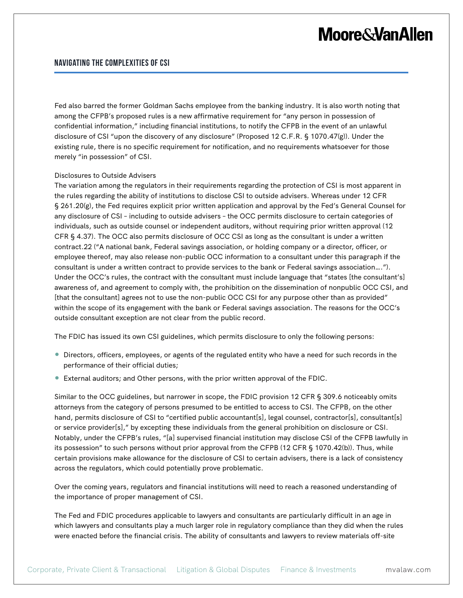#### **Navigating the Complexities of CSI**

Fed also barred the former Goldman Sachs employee from the banking industry. It is also worth noting that among the CFPB's proposed rules is a new affirmative requirement for "any person in possession of confidential information," including financial institutions, to notify the CFPB in the event of an unlawful disclosure of CSI "upon the discovery of any disclosure" (Proposed 12 C.F.R. § 1070.47(g)). Under the existing rule, there is no specific requirement for notification, and no requirements whatsoever for those merely "in possession" of CSI.

#### Disclosures to Outside Advisers

The variation among the regulators in their requirements regarding the protection of CSI is most apparent in the rules regarding the ability of institutions to disclose CSI to outside advisers. Whereas under 12 CFR § 261.20(g), the Fed requires explicit prior written application and approval by the Fed's General Counsel for any disclosure of CSI – including to outside advisers – the OCC permits disclosure to certain categories of individuals, such as outside counsel or independent auditors, without requiring prior written approval (12 CFR § 4.37). The OCC also permits disclosure of OCC CSI as long as the consultant is under a written contract.22 ("A national bank, Federal savings association, or holding company or a director, officer, or employee thereof, may also release non-public OCC information to a consultant under this paragraph if the consultant is under a written contract to provide services to the bank or Federal savings association…."). Under the OCC's rules, the contract with the consultant must include language that "states [the consultant's] awareness of, and agreement to comply with, the prohibition on the dissemination of nonpublic OCC CSI, and [that the consultant] agrees not to use the non-public OCC CSI for any purpose other than as provided" within the scope of its engagement with the bank or Federal savings association. The reasons for the OCC's outside consultant exception are not clear from the public record.

The FDIC has issued its own CSI guidelines, which permits disclosure to only the following persons:

- Directors, officers, employees, or agents of the regulated entity who have a need for such records in the performance of their official duties;
- External auditors; and Other persons, with the prior written approval of the FDIC.

Similar to the OCC guidelines, but narrower in scope, the FDIC provision 12 CFR § 309.6 noticeably omits attorneys from the category of persons presumed to be entitled to access to CSI. The CFPB, on the other hand, permits disclosure of CSI to "certified public accountant[s], legal counsel, contractor[s], consultant[s] or service provider[s]," by excepting these individuals from the general prohibition on disclosure or CSI. Notably, under the CFPB's rules, "[a] supervised financial institution may disclose CSI of the CFPB lawfully in its possession" to such persons without prior approval from the CFPB (12 CFR § 1070.42(b)). Thus, while certain provisions make allowance for the disclosure of CSI to certain advisers, there is a lack of consistency across the regulators, which could potentially prove problematic.

Over the coming years, regulators and financial institutions will need to reach a reasoned understanding of the importance of proper management of CSI.

The Fed and FDIC procedures applicable to lawyers and consultants are particularly difficult in an age in which lawyers and consultants play a much larger role in regulatory compliance than they did when the rules were enacted before the financial crisis. The ability of consultants and lawyers to review materials off-site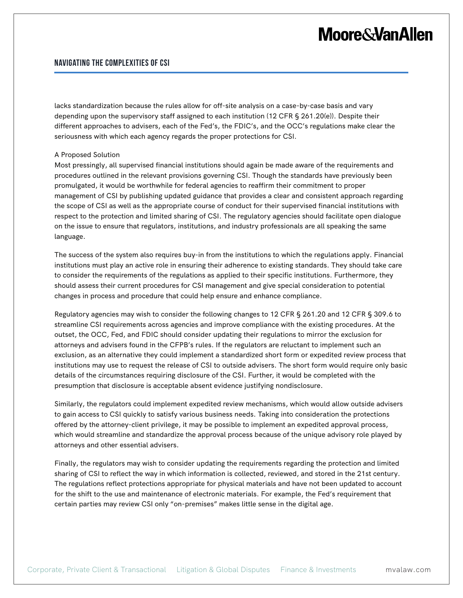#### **Navigating the Complexities of CSI**

lacks standardization because the rules allow for off-site analysis on a case-by-case basis and vary depending upon the supervisory staff assigned to each institution (12 CFR § 261.20(e)). Despite their different approaches to advisers, each of the Fed's, the FDIC's, and the OCC's regulations make clear the seriousness with which each agency regards the proper protections for CSI.

#### A Proposed Solution

Most pressingly, all supervised financial institutions should again be made aware of the requirements and procedures outlined in the relevant provisions governing CSI. Though the standards have previously been promulgated, it would be worthwhile for federal agencies to reaffirm their commitment to proper management of CSI by publishing updated guidance that provides a clear and consistent approach regarding the scope of CSI as well as the appropriate course of conduct for their supervised financial institutions with respect to the protection and limited sharing of CSI. The regulatory agencies should facilitate open dialogue on the issue to ensure that regulators, institutions, and industry professionals are all speaking the same language.

The success of the system also requires buy-in from the institutions to which the regulations apply. Financial institutions must play an active role in ensuring their adherence to existing standards. They should take care to consider the requirements of the regulations as applied to their specific institutions. Furthermore, they should assess their current procedures for CSI management and give special consideration to potential changes in process and procedure that could help ensure and enhance compliance.

Regulatory agencies may wish to consider the following changes to 12 CFR § 261.20 and 12 CFR § 309.6 to streamline CSI requirements across agencies and improve compliance with the existing procedures. At the outset, the OCC, Fed, and FDIC should consider updating their regulations to mirror the exclusion for attorneys and advisers found in the CFPB's rules. If the regulators are reluctant to implement such an exclusion, as an alternative they could implement a standardized short form or expedited review process that institutions may use to request the release of CSI to outside advisers. The short form would require only basic details of the circumstances requiring disclosure of the CSI. Further, it would be completed with the presumption that disclosure is acceptable absent evidence justifying nondisclosure.

Similarly, the regulators could implement expedited review mechanisms, which would allow outside advisers to gain access to CSI quickly to satisfy various business needs. Taking into consideration the protections offered by the attorney-client privilege, it may be possible to implement an expedited approval process, which would streamline and standardize the approval process because of the unique advisory role played by attorneys and other essential advisers.

Finally, the regulators may wish to consider updating the requirements regarding the protection and limited sharing of CSI to reflect the way in which information is collected, reviewed, and stored in the 21st century. The regulations reflect protections appropriate for physical materials and have not been updated to account for the shift to the use and maintenance of electronic materials. For example, the Fed's requirement that certain parties may review CSI only "on-premises" makes little sense in the digital age.